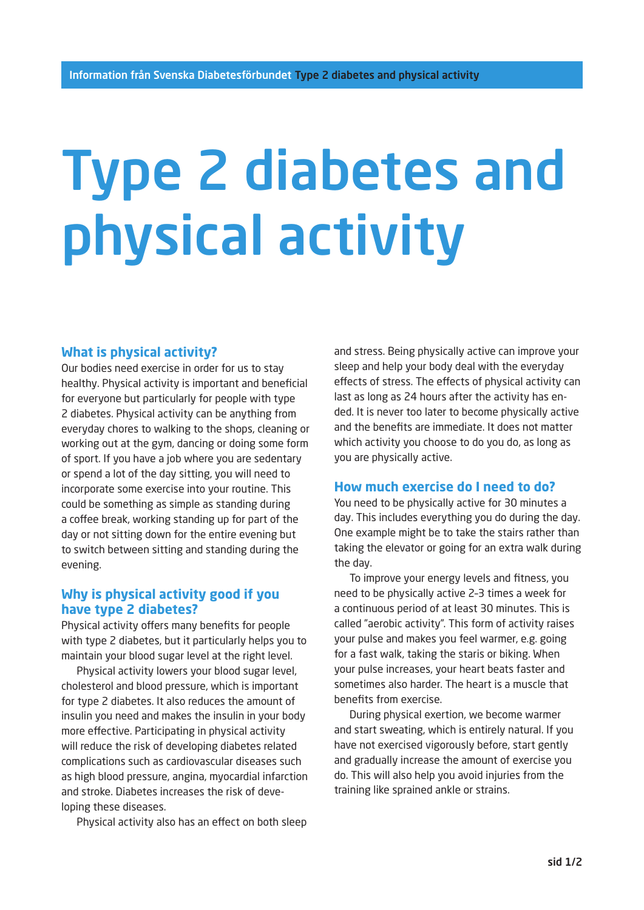# Type 2 diabetes and physical activity

# **What is physical activity?**

Our bodies need exercise in order for us to stay healthy. Physical activity is important and beneficial for everyone but particularly for people with type 2 diabetes. Physical activity can be anything from everyday chores to walking to the shops, cleaning or working out at the gym, dancing or doing some form of sport. If you have a job where you are sedentary or spend a lot of the day sitting, you will need to incorporate some exercise into your routine. This could be something as simple as standing during a coffee break, working standing up for part of the day or not sitting down for the entire evening but to switch between sitting and standing during the evening.

#### **Why is physical activity good if you have type 2 diabetes?**

Physical activity offers many benefits for people with type 2 diabetes, but it particularly helps you to maintain your blood sugar level at the right level.

Physical activity lowers your blood sugar level, cholesterol and blood pressure, which is important for type 2 diabetes. It also reduces the amount of insulin you need and makes the insulin in your body more effective. Participating in physical activity will reduce the risk of developing diabetes related complications such as cardiovascular diseases such as high blood pressure, angina, myocardial infarction and stroke. Diabetes increases the risk of developing these diseases.

Physical activity also has an effect on both sleep

and stress. Being physically active can improve your sleep and help your body deal with the everyday effects of stress. The effects of physical activity can last as long as 24 hours after the activity has ended. It is never too later to become physically active and the benefits are immediate. It does not matter which activity you choose to do you do, as long as you are physically active.

#### **How much exercise do I need to do?**

You need to be physically active for 30 minutes a day. This includes everything you do during the day. One example might be to take the stairs rather than taking the elevator or going for an extra walk during the day.

To improve your energy levels and fitness, you need to be physically active 2–3 times a week for a continuous period of at least 30 minutes. This is called "aerobic activity". This form of activity raises your pulse and makes you feel warmer, e.g. going for a fast walk, taking the staris or biking. When your pulse increases, your heart beats faster and sometimes also harder. The heart is a muscle that benefits from exercise.

During physical exertion, we become warmer and start sweating, which is entirely natural. If you have not exercised vigorously before, start gently and gradually increase the amount of exercise you do. This will also help you avoid injuries from the training like sprained ankle or strains.